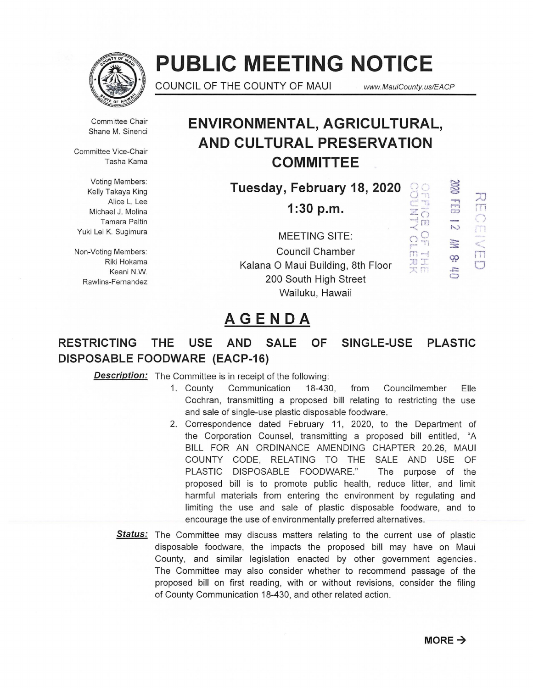

# **PUBLIC MEETING NOTICE**

COUNCIL OF THE COUNTY OF MAUI **www.MauiCounty.us/EACP** 

, ..<br>
, ...<br>
, ...<br>
, ...<br>
, ...<br>
, ...<br>
, ...<br>
, ...<br>
, ...<br>
, ...<br>
, ...<br>
, ...<br>
, ...<br>
, ...<br>

 $\overline{\overline{C}}$  $[7]$  ;-....)  $\cong$ 

*<u>Connect</u>* 

 $\overline{\overline{0}}$ 

 $\vec{\Xi}$   $\vec{\Xi}$  $\bigcirc$  $\Box$ 

 $|T|$ 

 $\Box$ 

Committee Chair Shane M. Sinenci

Committee Vice-Chair Tasha Kama

Voting Members: Kelly Takaya King Alice L. Lee Michael J. Molina Tamara Paltin Yuki Lei K. Sugimura

Riki Hokama Keani N.W. Rawlins-Fernandez

# **ENVIRONMENTAL, AGRICULTURAL, AND CULTURAL PRESERVATION COMMITTEE**

**Tuesday, February 18, 2020** 

**1:30 p.m.** 

MEETING SITE:  $\Omega_{\rm H}^{\rm Q}$ Non-Voting Members:<br>
Piki Hokama<br>
Piki Hokama<br>
Council Chamber<br>
Council Chamber<br>
Council Chamber Kalana 0 Maui Building, 8th Floor 200 South High Street Wailuku, Hawaii

# **AGENDA**

## **RESTRICTING THE USE AND SALE OF SINGLE-USE PLASTIC DISPOSABLE FOODWARE (EACP-16)**

**Description:** The Committee is in receipt of the following:

- 1. County Communication 18-430, from Councilmember Elle Cochran, transmitting a proposed bill relating to restricting the use and sale of single-use plastic disposable foodware.
- 2. Correspondence dated February 11, 2020, to the Department of the Corporation Counsel, transmitting a proposed bill entitled, "A BILL FOR AN ORDINANCE AMENDING CHAPTER 20.26, MAUl COUNTY CODE, RELATING TO THE SALE AND USE OF PLASTIC DISPOSABLE FOODWARE." The purpose of the proposed bill is to promote public health, reduce litter, and limit harmful materials from entering the environment by regulating and limiting the use and sale of plastic disposable foodware, and to encourage the use of environmentally preferred alternatives.
- **Status:** The Committee may discuss matters relating to the current use of plastic disposable foodware, the impacts the proposed bill may have on Maui County, and similar legislation enacted by other government agencies. The Committee may also consider whether to recommend passage of the proposed bill on first reading, with or without revisions, consider the filing of County Communication 18-430, and other related action.